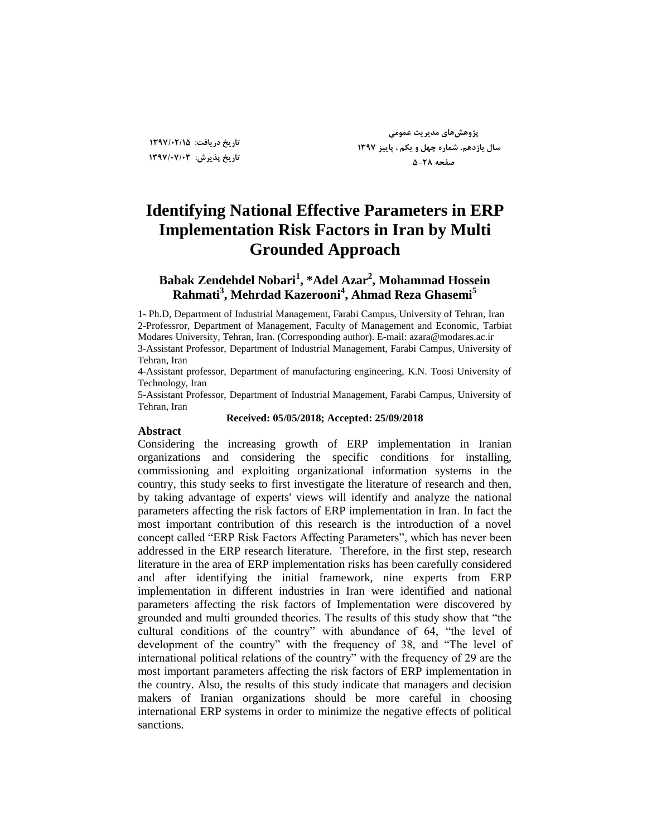**تاریخ دریافت: 1397/02/15 تاریخ پذیزش: 1397/07/03**

**پژٍّصّای هذیزیت عوَهی سال یاسدّن، ضوارُ چْل ٍ یکن ، پاییش 1397 صفحِ 5-28**

# **Identifying National Effective Parameters in ERP Implementation Risk Factors in Iran by Multi Grounded Approach**

### **Babak Zendehdel Nobari<sup>1</sup> , \*Adel Azar<sup>2</sup> , Mohammad Hossein Rahmati<sup>3</sup> , Mehrdad Kazerooni<sup>4</sup> , Ahmad Reza Ghasemi<sup>5</sup>**

1- Ph.D, Department of Industrial Management, Farabi Campus, University of Tehran, Iran 2-Professror, Department of Management, Faculty of Management and Economic, Tarbiat Modares University, Tehran, Iran. (Corresponding author). E-mail: azara@modares.ac.ir 3-Assistant Professor, Department of Industrial Management, Farabi Campus, University of Tehran, Iran

4-Assistant professor, Department of manufacturing engineering, K.N. Toosi University of Technology, Iran

5-Assistant Professor, Department of Industrial Management, Farabi Campus, University of Tehran, Iran

#### **Received: 05/05/2018; Accepted: 25/09/2018**

#### **Abstract**

Considering the increasing growth of ERP implementation in Iranian organizations and considering the specific conditions for installing, commissioning and exploiting organizational information systems in the country, this study seeks to first investigate the literature of research and then, by taking advantage of experts' views will identify and analyze the national parameters affecting the risk factors of ERP implementation in Iran. In fact the most important contribution of this research is the introduction of a novel concept called "ERP Risk Factors Affecting Parameters", which has never been addressed in the ERP research literature. Therefore, in the first step, research literature in the area of ERP implementation risks has been carefully considered and after identifying the initial framework, nine experts from ERP implementation in different industries in Iran were identified and national parameters affecting the risk factors of Implementation were discovered by grounded and multi grounded theories. The results of this study show that "the cultural conditions of the country" with abundance of 64, "the level of development of the country" with the frequency of 38, and "The level of international political relations of the country" with the frequency of 29 are the most important parameters affecting the risk factors of ERP implementation in the country. Also, the results of this study indicate that managers and decision makers of Iranian organizations should be more careful in choosing international ERP systems in order to minimize the negative effects of political sanctions.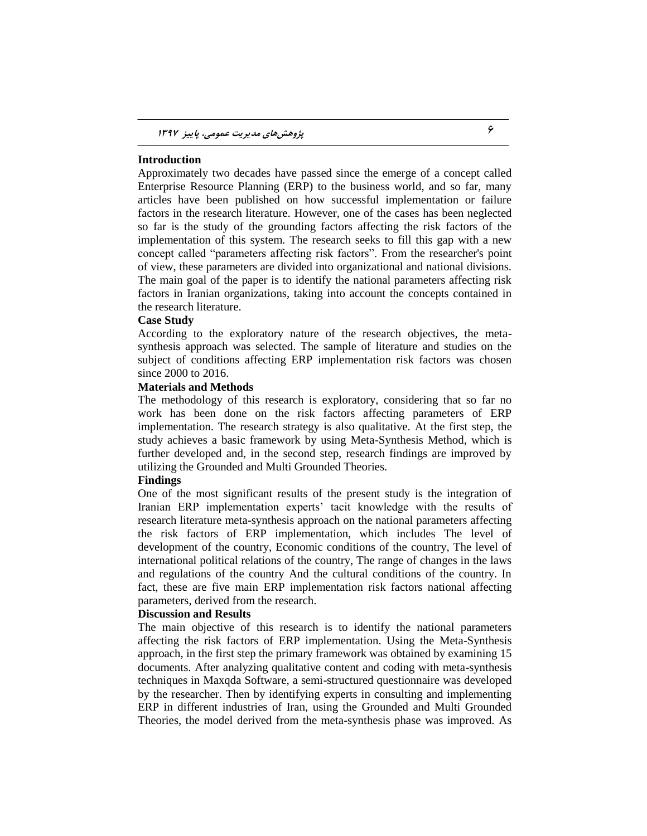#### **Introduction**

Approximately two decades have passed since the emerge of a concept called Enterprise Resource Planning (ERP) to the business world, and so far, many articles have been published on how successful implementation or failure factors in the research literature. However, one of the cases has been neglected so far is the study of the grounding factors affecting the risk factors of the implementation of this system. The research seeks to fill this gap with a new concept called "parameters affecting risk factors". From the researcher's point of view, these parameters are divided into organizational and national divisions. The main goal of the paper is to identify the national parameters affecting risk factors in Iranian organizations, taking into account the concepts contained in the research literature.

#### **Case Study**

According to the exploratory nature of the research objectives, the metasynthesis approach was selected. The sample of literature and studies on the subject of conditions affecting ERP implementation risk factors was chosen since 2000 to 2016.

#### **Materials and Methods**

The methodology of this research is exploratory, considering that so far no work has been done on the risk factors affecting parameters of ERP implementation. The research strategy is also qualitative. At the first step, the study achieves a basic framework by using Meta-Synthesis Method, which is further developed and, in the second step, research findings are improved by utilizing the Grounded and Multi Grounded Theories.

#### **Findings**

One of the most significant results of the present study is the integration of Iranian ERP implementation experts' tacit knowledge with the results of research literature meta-synthesis approach on the national parameters affecting the risk factors of ERP implementation, which includes The level of development of the country, Economic conditions of the country, The level of international political relations of the country, The range of changes in the laws and regulations of the country And the cultural conditions of the country. In fact, these are five main ERP implementation risk factors national affecting parameters, derived from the research.

#### **Discussion and Results**

The main objective of this research is to identify the national parameters affecting the risk factors of ERP implementation. Using the Meta-Synthesis approach, in the first step the primary framework was obtained by examining 15 documents. After analyzing qualitative content and coding with meta-synthesis techniques in Maxqda Software, a semi-structured questionnaire was developed by the researcher. Then by identifying experts in consulting and implementing ERP in different industries of Iran, using the Grounded and Multi Grounded Theories, the model derived from the meta-synthesis phase was improved. As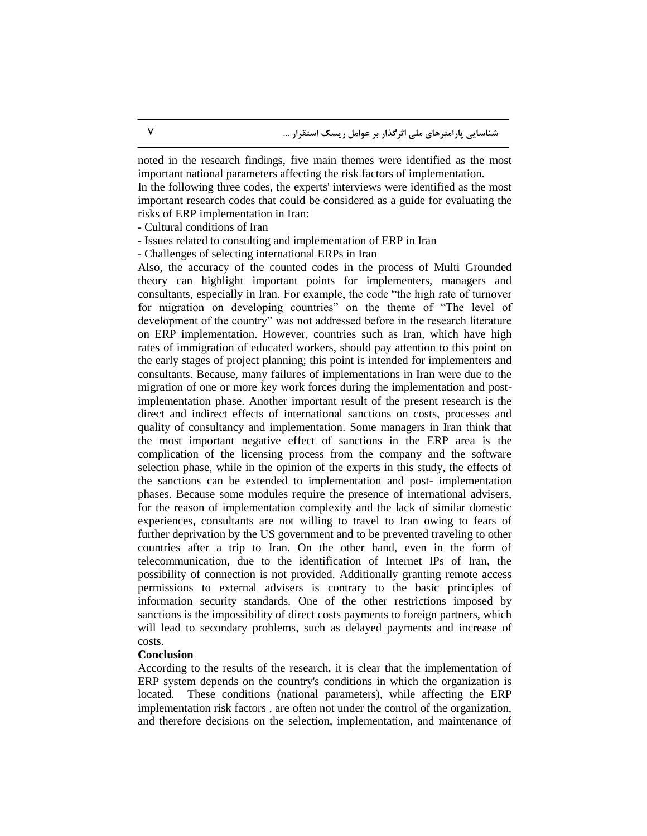noted in the research findings, five main themes were identified as the most important national parameters affecting the risk factors of implementation.

In the following three codes, the experts' interviews were identified as the most important research codes that could be considered as a guide for evaluating the risks of ERP implementation in Iran:

- Cultural conditions of Iran

- Issues related to consulting and implementation of ERP in Iran

- Challenges of selecting international ERPs in Iran

Also, the accuracy of the counted codes in the process of Multi Grounded theory can highlight important points for implementers, managers and consultants, especially in Iran. For example, the code "the high rate of turnover for migration on developing countries" on the theme of "The level of development of the country" was not addressed before in the research literature on ERP implementation. However, countries such as Iran, which have high rates of immigration of educated workers, should pay attention to this point on the early stages of project planning; this point is intended for implementers and consultants. Because, many failures of implementations in Iran were due to the migration of one or more key work forces during the implementation and postimplementation phase. Another important result of the present research is the direct and indirect effects of international sanctions on costs, processes and quality of consultancy and implementation. Some managers in Iran think that the most important negative effect of sanctions in the ERP area is the complication of the licensing process from the company and the software selection phase, while in the opinion of the experts in this study, the effects of the sanctions can be extended to implementation and post- implementation phases. Because some modules require the presence of international advisers, for the reason of implementation complexity and the lack of similar domestic experiences, consultants are not willing to travel to Iran owing to fears of further deprivation by the US government and to be prevented traveling to other countries after a trip to Iran. On the other hand, even in the form of telecommunication, due to the identification of Internet IPs of Iran, the possibility of connection is not provided. Additionally granting remote access permissions to external advisers is contrary to the basic principles of information security standards. One of the other restrictions imposed by sanctions is the impossibility of direct costs payments to foreign partners, which will lead to secondary problems, such as delayed payments and increase of costs.

#### **Conclusion**

According to the results of the research, it is clear that the implementation of ERP system depends on the country's conditions in which the organization is located. These conditions (national parameters), while affecting the ERP implementation risk factors , are often not under the control of the organization, and therefore decisions on the selection, implementation, and maintenance of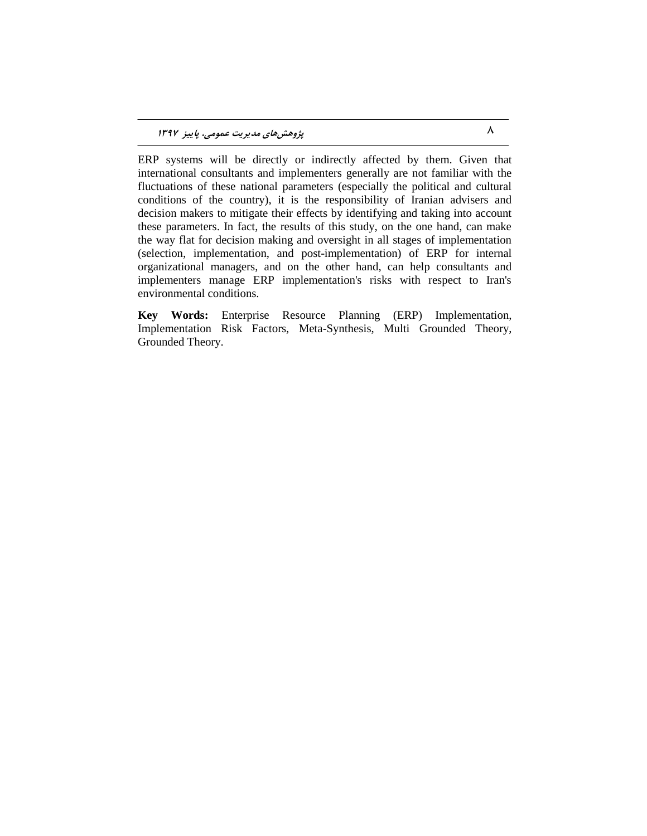ERP systems will be directly or indirectly affected by them. Given that international consultants and implementers generally are not familiar with the fluctuations of these national parameters (especially the political and cultural conditions of the country), it is the responsibility of Iranian advisers and decision makers to mitigate their effects by identifying and taking into account these parameters. In fact, the results of this study, on the one hand, can make the way flat for decision making and oversight in all stages of implementation (selection, implementation, and post-implementation) of ERP for internal organizational managers, and on the other hand, can help consultants and implementers manage ERP implementation's risks with respect to Iran's environmental conditions.

**Key Words:** Enterprise Resource Planning (ERP) Implementation, Implementation Risk Factors, Meta-Synthesis, Multi Grounded Theory, Grounded Theory.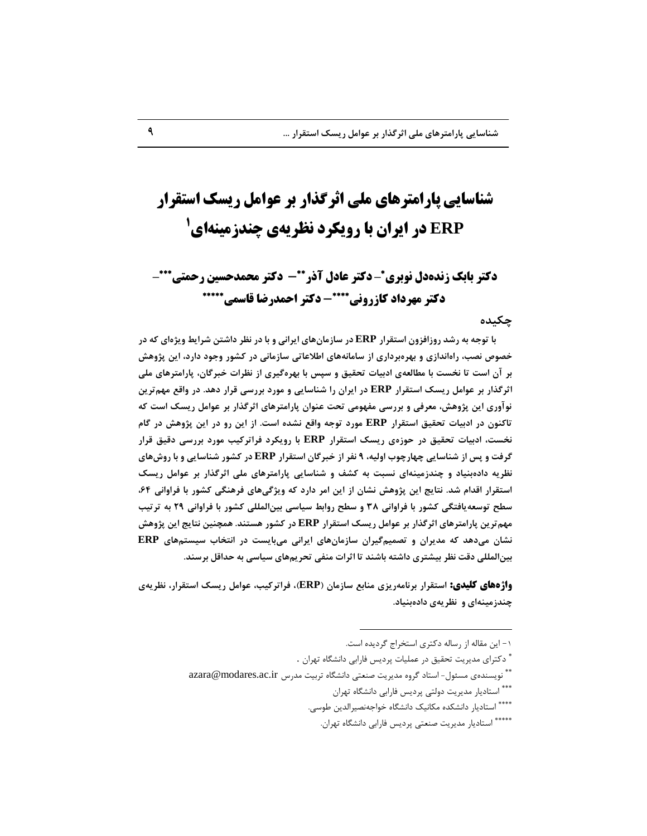# **شناسایی پارامترهای ملی اثرگذار بر عوامل ریسک استقرار ERP در ایران با رویکرد نظریهی چندزمینهای D**

# **دکتر بابک زندهدل نوبری\*-دکتر عادل آذر\*\*- دکتر محمدحسین رحمتی\*\*\*-- دکتس احمدزضا قاسمی دکتس مُسداد کاشزيوی**

#### **چکیذُ**

**با توجه به رشد روزافزون استقرار ERP در سازمان هاى ایرانى و با در نظر داشتن شرایط ویژهاى که در** خصوص نصب، راهاندازی و بهرهبرداری از سامانههای اطلاعاتی سازمانی در کشور وجود دارد، این پژوهش **تز آى است تا ًخست تا هطالعِی ادتیات تحقیق ٍ سپس تا تْزُگیزی اس ًظزات خثزگاى، پاراهتزّای هلی اثزگذار تز عَاهل ریسک استقزار ERP در ایزاى را ضٌاسایی ٍ هَرد تزرسی قزار دّذ. در ٍاقع هْنتزیي ًَآٍری ایي پژٍّص، هعزفی ٍ تزرسی هفَْهی تحت عٌَاى پاراهتزّای اثزگذار تز عَاهل ریسک است کِ**  تاکنون در ادبیات تحقیق استقرار **ERP مورد توجه واقع نشده است. از این رو در این پژوهش در گام ًخست، ادتیات تحقیق در حَسُی ریسک استقزار ERP تا رٍیکزد فزاتزکیة هَرد تزرسی دقیق قزار گزفت ٍ پس اس ضٌاسایی چْارچَب اٍلی،ِ 9 ًفز اس خثزگاى استقزار ERP در کطَر ضٌاسایی ٍ تا رٍشّای**  نظریه دادهبنیاد و چندزمینهای نسبت به کشف و شناسایی پارامترهای ملی اثرگذار بر عوامل ریسک استقرار اقدام شد. نتایج این پژوهش نشان از این امر دارد که ویژگیهای فرهنگی کشور با فراوانی ۶۴، **سطح تَسعِیافتگی کطَر تا فزاٍاًی 38 ٍ سطح رٍاتط سیاسی تیيالوللی کطَر تا فزاٍاًی 29 تِ تزتیة هْنتزیي پاراهتزّای اثزگذار تز عَاهل ریسک استقزار ERP در کطَر ّستٌذ. ّوچٌیي ًتایج ایي پژٍّص ًطاى هیدّذ کِ هذیزاى ٍ تصوینگیزاى ساسهاىّای ایزاًی هیتایست در اًتخاب سیستنّای ERP** بین المللی دقت نظر بیشتری داشته باشند تا اثرات منفی تحریمهای سیاسی به حداقل برسند.

**ياژٌَای کلیدی: استقزار تزًاهِریشی هٌاتع ساسهاى )ERP)، فزاتزکیة، عَاهل ریسک استقزار، ًظزیِی**  چندزمینهای و نظریهی دادهبنیاد.

 $\overline{a}$ 

۱- این مقاله از رساله دکتری استخراج گردیده است.

<sup>\*</sup> دکترای مدیریت تحقیق در عملیات پردیس فارابی دانشگاه تهران .

<sup>\*\*</sup> نویسندهی مسئول- استاد گروه مدیریت صنعتی دانشگاه تربیت مدرس azara@modares.ac.ir

<sup>\*\*\*</sup> استادیار مدیریت دولتی پردیس فارابی دانشگاه تهران

<sup>\*\*\*\*</sup> استادیار دانشکده مکانیک دانشگاه خواجهنصیرالدین طوسی.

<sup>\*\*\*\*\*</sup> استادیار مدیریت صنعتی پردیس فارابی دانشگاه تهران.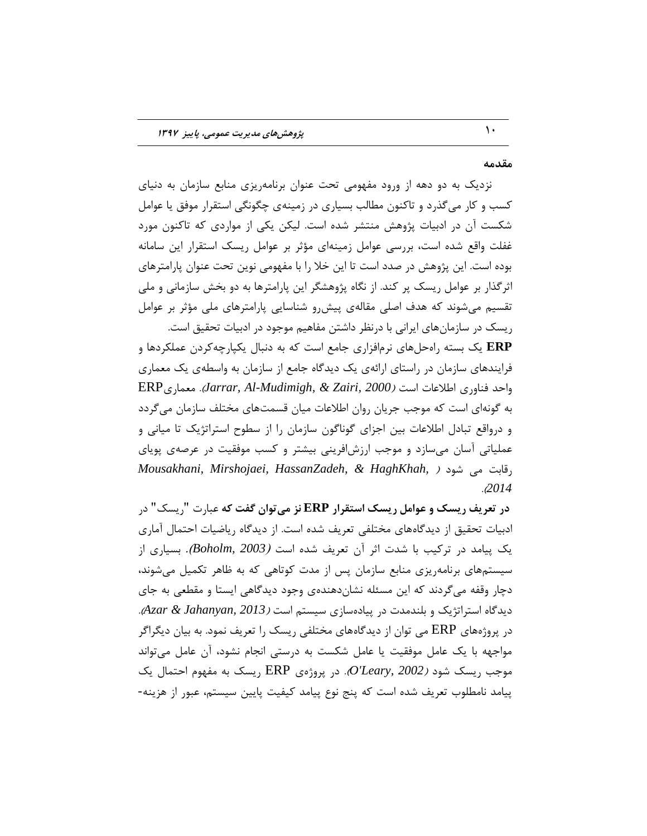#### **هقذهِ**

نزدیک به دو دهه از ورود مفهومی تحت عنوان برنامهریزی منابع سازمان به دنیای کسب و کار می گذرد و تاکنون مطالب بسیاری در زمینهی چگونگی استقرار موفق یا عوامل شکست آن در ادبیات پژوهش منتشر شده است. لیکن یکی از مواردی که تاکنون مورد غفلت واقع شده است، بررسی عوامل زمینهای مؤثر بر عوامل ریسک استقرار این سامانه بوده است. این پژوهش در صدد است تا این خلا را با مفهومی نوین تحت عنوان پارامترهای اثر گذار بر عوامل ریسک پر کند. از نگاه پژوهشگر این پارامترها به دو بخش سازمانی و ملی تقسیم میشوند که هدف اصلی مقالهی پیشررو شناسایی پارامترهای ملی مؤثر بر عوامل

ریسک در سازمانهای ایرانی با درنظر داشتن مفاهیم موجود در ادبیات تحقیق است. ERP یک بسته راهحلهای نرمافزاری جامع است که به دنبال یکپارچهکردن عملکردها و **E**RP فرایندهای سازمان در راستای ارائهی یک دیدگاه جامع از سازمان به واسطهی یک معماری  $\text{ERP}_{\mathcal{S}}$ واحد فناوری اطلاعات است *(Jarrar, Al-Mudimigh, & Zairi, 2000).* معماری به گونهای است که موجب جریان روان اطلاعات میان قسمتهای مختلف سازمان می گردد و درواقع تبادل اطلاعات بین اجزای گوناگون سازمان را از سطوح استراتژیک تا میانی و عملیاتی آسان میسازد و موجب ارزشافرینی بیشتر و کسب موفقیت در عرصهی پویای *Mousakhani, Mirshojaei, HassanZadeh, & HaghKhah, ) , ,* .)*2014*

**در تعزیف ریسک ٍ عَاهل ریسک استقزار ERP ًش هیتَاى گفت کِ** فجبرت "ریغه" زر ادبیات تحقیق از دیدگاههای مختلفی تعریف شده است. از دیدگاه ریاضیات احتمال آماری یه پیبٔس زر تزویت ثب ؽست اثز آٖ تقزیف ؽسٜ اعت )*2003 ,Boholm*). ثغیبری اس سیستمهای برنامهریزی منابع سازمان پس از مدت کوتاهی که به ظاهر تکمیل می شوند، دچار وقفه می گردند که این مسئله نشانِدهندهی وجود دیدگاهی ایستا و مقطعی به جای دیدگاه استراتژیک و بلندمدت در پیادهسازی سیستم است *(Azar & Jahanyan, 2013).* در پروژههای ERP می توان از دیدگاههای مختلفی ریسک را تعریف نمود. به بیان دیگراگر مواجهه با یک عامل موفقیت یا عامل شکست به درستی انجام نشود، آن عامل می تواند  $\delta$ ، در پروژهی ERP ریسک به مفهوم احتمال یک *O'Leary, 2002).* در پروژهی پیامد نامطلوب تعریف شده است که پنج نوع پیامد کیفیت پایین سیستم، عبور از هزینه-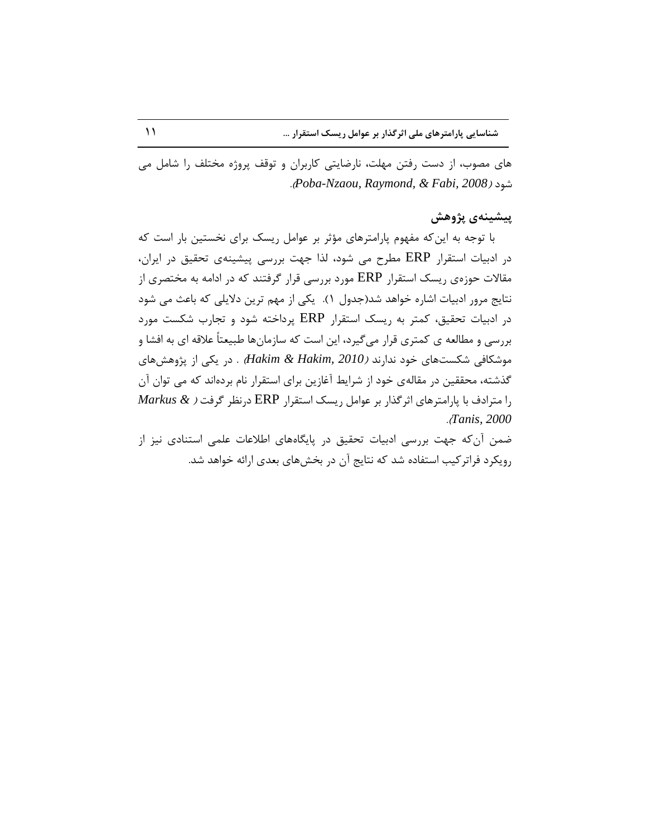های مصوب، از دست رفتن مهلت، نارضایتی کاربران و توقف پروژه مختلف را شامل می .)*Poba-Nzaou, Raymond, & Fabi, 2008*( زٛؽ

### **پیطیٌِی پژٍّص**

با توجه به این که مفهوم پارامترهای مؤثر بر عوامل ریسک برای نخستین بار است که در ادبیات استقرار ERP مطرح می شود، لذا جهت بررسی پیشینهی تحقیق در ایران، مقالات حوزهی ریسک استقرار ERP مورد بررسی قرار گرفتند که در ادامه به مختصری از نتایج مرور ادبیات اشاره خواهد شد(جدول ۱). یکی از مهم ترین دلایلی که باعث می شود در ادبیات تحقیق، کمتر به ریسک استقرار ERP پرداخته شود و تجارب شکست مورد بررسی و مطالعه ی کمتری قرار میگیرد، این است که سازمانها طبیعتاً علاقه ای به افشا و موشکافی شکستهای خود ندارند *(Hakim & Hakim, 2010) .* در یکی از پژوهشهای گذشته، محققین در مقالهی خود از شرایط آغازین برای استقرار نام بردهاند که می توان آن را ٔتزازف ثب پبرأتزٞبی اثزٌذار ثز فٛأُ ریغه اعتمزار ERP زر٘ؾز ٌزفت ) *& Markus* .)*Tanis, 2000*

ضمن آن كه جهت بررسی ادبیات تحقیق در پایگاههای اطلاعات علمی استنادی نیز از رویکرد فراترکیب استفاده شد که نتایج آن در بخشهای بعدی ارائه خواهد شد.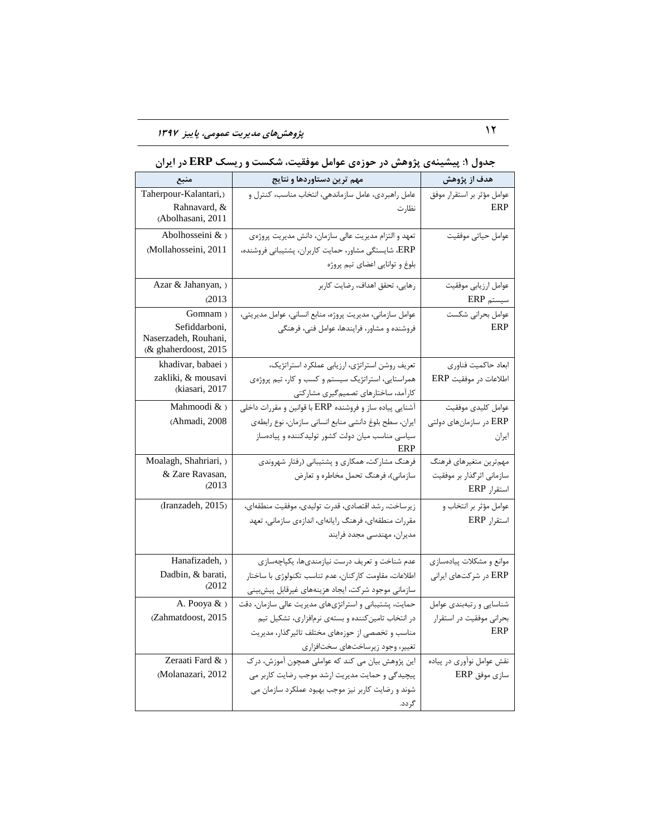| منبع                                                          | مهم ترین دستاوردها و نتایج                                                                                   | هدف از پژوهش                             |
|---------------------------------------------------------------|--------------------------------------------------------------------------------------------------------------|------------------------------------------|
| Taherpour-Kalantari,)<br>Rahnavard, &                         | عامل راهبردی، عامل سازماندهی، انتخاب مناسب، کنترل و<br>نظارت                                                 | عوامل مؤثر بر استقرار موفق<br>ERP        |
| (Abolhasani, 2011<br>Abolhosseini & >                         |                                                                                                              |                                          |
| (Mollahosseini, 2011                                          | تعهد و التزام مديريت عالي سازمان، دانش مديريت پروژەي<br>ERP، شايستگي مشاور، حمايت كاربران، پشتيباني فروشنده، | عوامل حياتي موفقيت                       |
|                                                               | بلوغ و توانايي اعضاي تيم پروژه                                                                               |                                          |
| Azar & Jahanyan, )<br>(2013)                                  | رهایی، تحقق اهداف، رضایت کاربر                                                                               | عوامل ارزيابي موفقيت<br>$ERP$ سیستم      |
| Gomnam)                                                       | عوامل سازمانی، مدیریت پروژه، منابع انسانی، عوامل مدیریتی،                                                    | عوامل بحرانى شكست                        |
| Sefiddarboni,<br>Naserzadeh, Rouhani,<br>(& ghaherdoost, 2015 | فروشنده و مشاور، فرایندها، عوامل فنی، فرهنگی                                                                 | ERP                                      |
| khadivar, babaei )                                            | تعریف روشن استراتژی، ارزیابی عملکرد استراتژیک،                                                               | ابعاد حاكميت فناوري                      |
| zakliki, & mousavi                                            | همراستایی، استراتژیک سیستم و کسب و کار، تیم پروژهی                                                           | اطلاعات در موفقيت ERP                    |
| (kiasari, 2017                                                | کارآمد، ساختارهای تصمیم گیری مشارکتی                                                                         |                                          |
| Mahmoodi & )                                                  | آشنایی پیاده ساز و فروشنده ERP با قوانین و مقررات داخلی                                                      | عوامل كليدى موفقيت                       |
| (Ahmadi, 2008                                                 | ايران، سطح بلوغ دانشي منابع انساني سازمان، نوع رابطهي                                                        | ERP در سازمانهای دولتی                   |
|                                                               | سیاسی مناسب میان دولت کشور تولیدکننده و پیادهساز<br>ERP                                                      | ايران                                    |
| Moalagh, Shahriari, )                                         | فرهنگ مشارکت، همکاری و پشتیبانی (رفتار شهروندی                                                               | مهمترين متغيرهاي فرهنگ                   |
| & Zare Ravasan,<br>(2013)                                     | سازمانی)، فرهنگ تحمل مخاطره و تعارض                                                                          | سازمانی اثرگذار بر موفقیت<br>استقرار ERP |
| (Iranzadeh, 2015)                                             | زيرساخت، رشد اقتصادي، قدرت توليدي، موفقيت منطقهاي،                                                           | عوامل مؤثر بر انتخاب و                   |
|                                                               | مقررات منطقهاي، فرهنگ رايانهاي، اندازهي سازماني، تعهد                                                        | استقرار ERP                              |
|                                                               | مديران، مهندسي مجدد فرايند                                                                                   |                                          |
| Hanafizadeh, )                                                | عدم شناخت و تعریف درست نیازمندیها، یکپاچهسازی                                                                | موانع و مشکلات پیادهسازی                 |
| Dadbin, & barati,                                             | اطلاعات، مقاومت كاركنان، عدم تناسب تكنولوژي با ساختار                                                        | ERP در شرکتهای ایرانی                    |
| (2012)                                                        | سازمانی موجود شرکت، ایجاد هزینههای غیرقابل پیشبینی                                                           |                                          |
| A. Pooya $\&$ )                                               | حمایت، پشتیبانی و استراتژیهای مدیریت عالی سازمان، دقت                                                        | شناسايي ورتبهبندي عوامل                  |
| (Zahmatdoost, 2015                                            | در انتخاب تامین کننده و بستهی نرمافزاری، تشکیل تیم                                                           | بحراني موفقيت در استقرار                 |
|                                                               | مناسب و تخصصی از حوزههای مختلف تاثیرگذار، مدیریت                                                             | ERP                                      |
|                                                               | تغيير، وجود زيرساختهاي سختافزاري                                                                             |                                          |
| Zeraati Fard & )                                              | این پژوهش بیان می کند که عواملی همچون آموزش، درک                                                             | نقش عوامل نوآوري در پياده                |
| (Molanazari, 2012                                             | پیچیدگی و حمایت مدیریت ارشد موجب رضایت کاربر می                                                              | سازى موفق ERP                            |
|                                                               | شوند و رضایت کاربر نیز موجب بهبود عملکرد سازمان می                                                           |                                          |
|                                                               | گر دد.                                                                                                       |                                          |

# **جذٍل :1 پیطیٌِی پژٍّص در حَسُی عَاهل هَفقیت، ضکست ٍ ریسک ERP در ایزاى**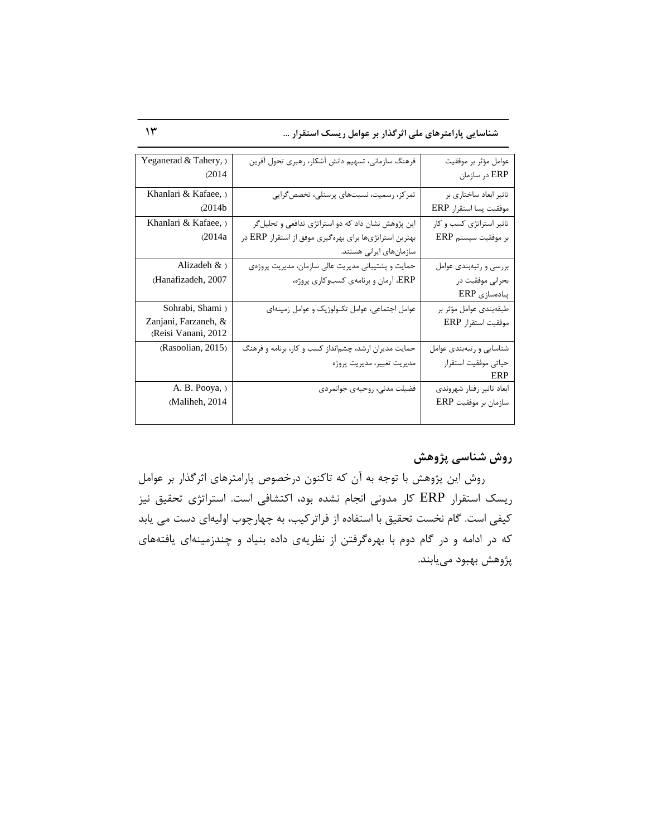**ضٌاسایی پاراهتزّای هلی اثزگذار تز عَاهل ریسک استقزار ...** 13

| عوامل مؤثر بر موفقيت      | فرهنگ سازمانی، تسهیم دانش أشكار، رهبري تحول أفرين      | Yeganerad & Tahery, ) |
|---------------------------|--------------------------------------------------------|-----------------------|
| ERP در سازمان             |                                                        | (2014)                |
| تاثیر ابعاد ساختاری بر    | تمرکز، رسمیت، نسبتهای پرسنلی، تخصص گرایی               | Khanlari & Kafaee, )  |
| موفقيت پسا استقرار ERP    |                                                        | (2014b)               |
| تاثیر استراتژی کسب و کار  | این پژوهش نشان داد که دو استراتژی تدافعی و تحلیل گر    | Khanlari & Kafaee,    |
| بر موفقيت سيستم ERP       | بهترین استراتژیها برای بهرهگیری موفق از استقرار ERP در | (2014a)               |
|                           | سازمانهای ایرانی هستند.                                |                       |
| بررسي و رتبهبندي عوامل    | حمایت و پشتیبانی مدیریت عالی سازمان، مدیریت پروژهی     | Alizadeh $\&$ )       |
| بحرانی موفقیت در          | ERP، آرمان و برنامهی کسبوکاری پروژه،                   | (Hanafizadeh, 2007    |
| پیادەسازى ERP             |                                                        |                       |
| طبقەبندى عوامل مؤثر بر    | عوامل اجتماعی، عوامل تکنولوژیک و عوامل زمینهای         | Sohrabi, Shami)       |
| موفقيت استقرار ERP        |                                                        | Zanjani, Farzaneh, &  |
|                           |                                                        | (Reisi Vanani, 2012   |
| شناسایی و رتبهبندی عوامل  | حمایت مدیران ارشد، چشمانداز کسب و کار، برنامه و فرهنگ  | (Rasoolian, 2015)     |
| حياتي موفقيت استقرار      | مديريت تغيير، مديريت پروژه                             |                       |
| ERP                       |                                                        |                       |
| ابعاد تاثير رفتار شهروندي | فضیلت مدنی، روحیهی جوانمردی                            | A. B. Pooya, )        |
| سازمان بر موفقيت ERP      |                                                        | (Maliheh, 2014        |
|                           |                                                        |                       |

# **رٍش ضٌاسی پژٍّص**

روش این پژوهش با توجه به آن که تاکنون درخصوص پارامترهای اثرگذار بر عوامل ریسک استقرار ERP کار مدونی انجام نشده بود، اکتشافی است. استراتژی تحقیق نیز کیفی است. گام نخست تحقیق با استفاده از فراترکیب، به چهارچوب اولیهای دست می یابد که در ادامه و در گام دوم با بهرهگرفتن از نظریهی داده بنیاد و چندزمینهای یافتههای پژوهش بهبود میيابند.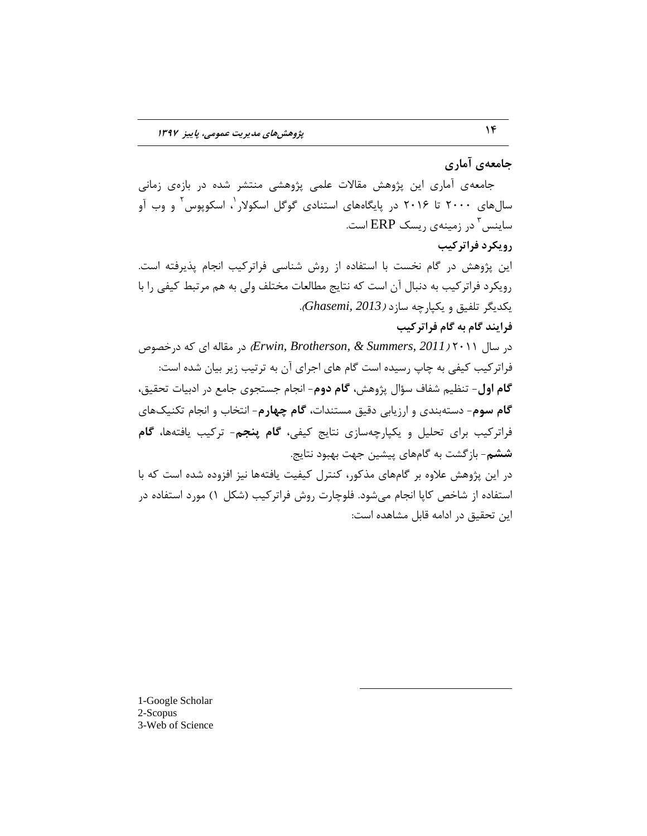**جاهعِی آهاری**

جامعهی آماری این پژوهش مقالات علمی پژوهشی منتشر شده در بازهی زمانی سالهای ۲۰۰۰ تا ۲۰۱۶ در پایگاههای استنادی گوگل اسکولار<sup>'</sup>، اسکوپوس<sup>۲</sup> و وب آو ساینس <sup>۳</sup> در زمینهی ریسک ERP است. **رٍیکزد فزاتزکیة** این پژوهش در گام نخست با استفاده از روش شناسی فراترکیب انجام پذیرفته است. رویکرد فراترکیب به دنبال آن است که نتایج مطالعات مختلف ولی به هم مرتبط کیفی را با یىسیٍز تّفیك ٚ یىپبرچٝ عبسز )*2013 ,Ghasemi*). **فزایٌذ گام تِ گام فزاتزکیة**  $\epsilon$ زر عبَال ۲۰۱۱ *(Erwin, Brotherson, & Summers, 2011) در خصوص* فراترکیب کیفی به چاپ رسیده است گام های اجرای آن به ترتیب زیر بیان شده است: **گام اول**- تنظیم شفاف سؤال پژوهش، **گام دوم**- انجام جستجوی جامع در ادبیات تحقیق، گام سوم- دستهبندی و ارزیابی دقیق مستندات، گام چهارم- انتخاب و انجام تكنیکهای فراترکیب برای تحلیل و یکپارچهسازی نتایج کیفی، **گام پنجم**- ترکیب یافتهها، **گام ششم**- بازگشت به گامهای پیشین جهت بهبود نتایج. در این پژوهش علاوه بر گامهای مذکور، کنترل کیفیت یافتهها نیز افزوده شده است که با استفاده از شاخص كاپا انجام مىشود. فلوچارت روش فراتركيب (شكل ١) مورد استفاده در این تحقیق در ادامه قابل مشاهده است:

 $\overline{a}$ 

1-Google Scholar 2-Scopus 3-Web of Science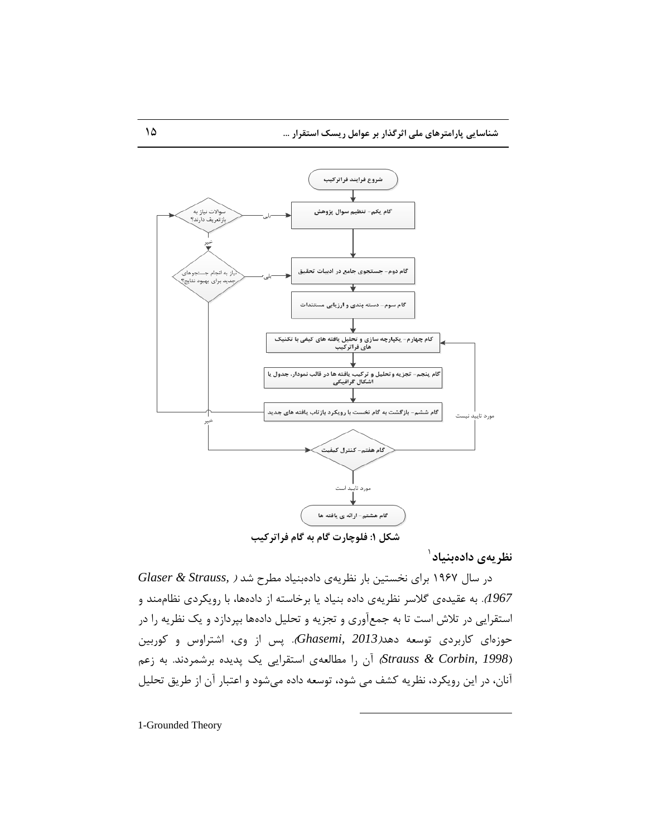

نظریهی دادهبنیاد<sup>۱</sup>

 زر عبَ 1967 ثزای ٘رغتیٗ ثبر ٘ؾزیٝی زازٜثٙیبز ٔغزح ؽس ) *,Strauss & Glaser* 1967). به عقیدهی گلاسر نظریهی داده بنیاد یا برخاسته از دادهها، با رویکردی نظاممند و استقرایی در تلاش است تا به جمعآوری و تجزیه و تحلیل دادهها بپردازد و یک نظریه را در حوزهای کاربردی توسعه دهد*(Ghasemi, 2013*). پس از وی، اشتراوس و کوربین *(1998 ,Strauss & Corbin )*آن را مطالعهی استقرایی یک پدیده برشمردند. به زعم آنان، در این رویكرد، نظریه كشف می شود، توسعه داده میشود و اعتبار آن از طریق تحلیل

 $\overline{a}$ 

1-Grounded Theory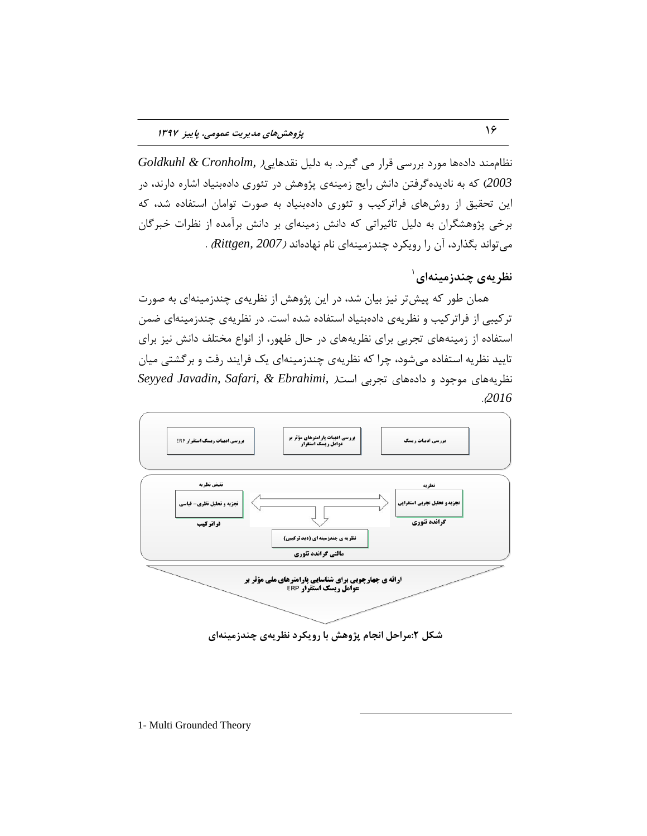نظام مند دادهها مورد بررسی قرار می گیرد. به دلیل نقدهایی Goldkuhl & Cronholm, ) 2003) که به نادیدهگرفتن دانش رایج زمینهی پژوهش در تئوری دادهبنیاد اشاره دارند، در این تحقیق از روشهای فراتركیب و تئوری دادهبنیاد به صورت توامان استفاده شد، كه برخی پژوهشگران به دلیل تاثیراتی که دانش زمینهای بر دانش برآمده از نظرات خبرگان ٔیتٛا٘س ثٍذارز، آٖ را رٚیىزز چٙسسٔیٝٙای ٘بْ ٟ٘بزٜا٘س )*2007 ,Rittgen* ).

نظریهی چندزمینهای<sup>۱</sup>

همان طور که پیش تر نیز بیان شد، در این پژوهش از نظریهی چندزمینهای به صورت ترکیبی از فراترکیب و نظریهی دادهبنیاد استفاده شده است. در نظریهی چندزمینهای ضمن استفاده از زمینههای تجربی برای نظریههای در حال ظهور، از انواع مختلف دانش نیز برای تایید نظریه استفاده میشود، چرا که نظریهی چندزمینهای یک فرایند رفت و برگشتی میان نظریههای موجود و دادههای تجربی است*( Seyyed Javadin, Safari, & Ebrahimi,* .)*2016*



شکل ۲:مراحل انجام پژوهش با رویکرد نظریهی چندزمینهای

 $\overline{a}$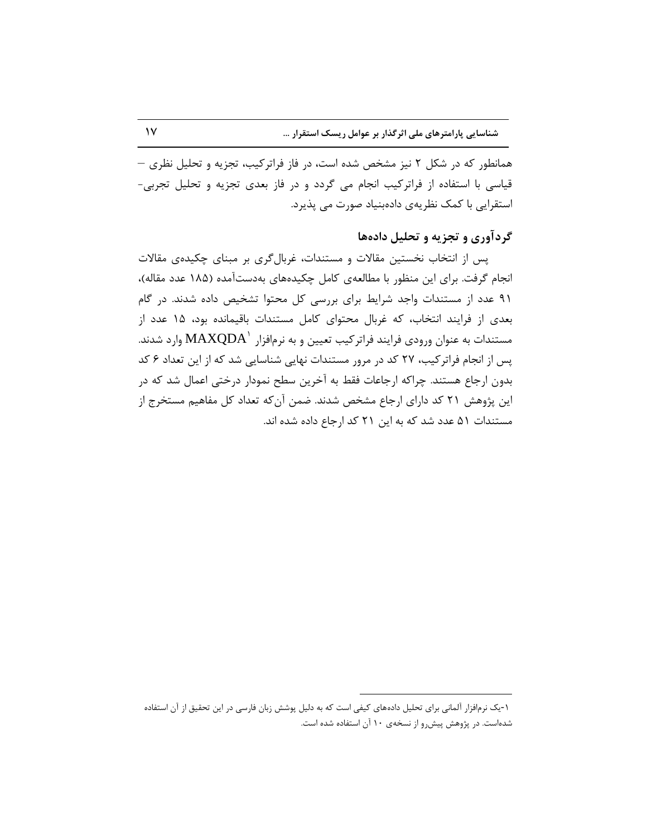همانطور که در شکل ۲ نیز مشخص شده است، در فاز فراترکیب، تجزیه و تحلیل نظری – قیاسی با استفاده از فراترکیب انجام می گردد و در فاز بعدی تجزیه و تحلیل تجربی-استقرایی با کمک نظریهی دادهبنیاد صورت می پذیرد.

## گردآوری و تجزیه و تحلیل دادهها

پس از انتخاب نخستین مقالات و مستندات، غربالگری بر مبنای چکیدهی مقالات انجام گرفت. برای این منظور با مطالعهی کامل چکیدههای بهدستآمده (۱۸۵ عدد مقاله)، ۹۱ عدد از مستندات واجد شرایط برای بررسی کل محتوا تشخیص داده شدند. در گام بعدی از فرایند انتخاب، که غربال محتوای کامل مستندات باقیمانده بود، ۱۵ عدد از مستندات به عنوان ورودی فرایند فراترکیب تعیین و به نرمافزار  $\mathrm{MAXQDA}^{\backprime}$  وارد شدند. پس از انجام فراترکیب، ۲۷ کد در مرور مستندات نهایی شناسایی شد که از این تعداد ۶ کد بدون ارجاع هستند. چراکه ارجاعات فقط به آخرین سطح نمودار درختی اعمال شد که در این پژوهش ۲۱ کد دارای ارجاع مشخص شدند. ضمن آن که تعداد کل مفاهیم مستخرج از مستندات ۵۱ عدد شد که به این ۲۱ کد ارجاع داده شده اند.

 $\overline{a}$ 

۱-یک نزمافزار آلمانی برای تحلیل دادههای کیفی است که به دلیل پوشش زبان فارسی در این تحقیق از آن استفاده شدهاست. در پژوهش پیش رو از نسخهی ۱۰ آن استفاده شده است.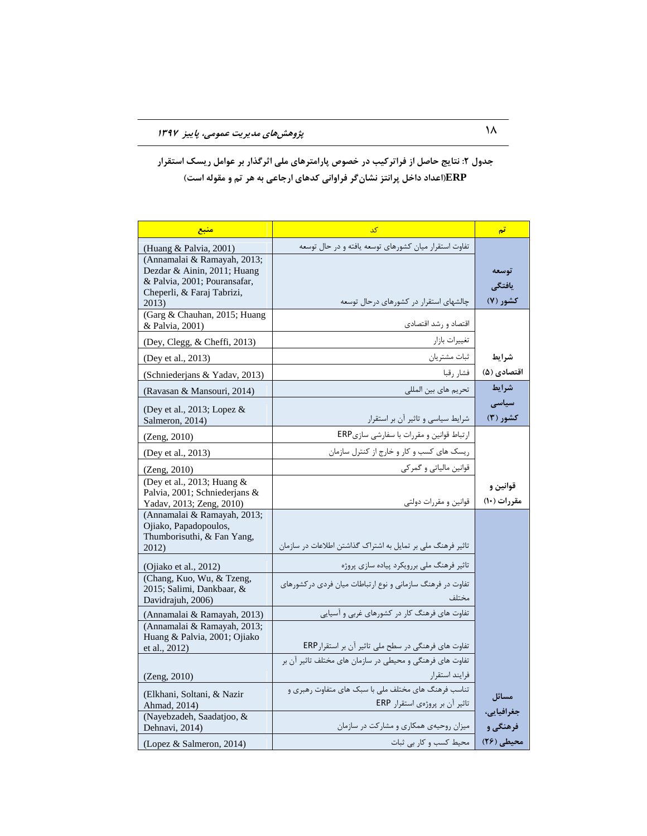## جدول ۲: نتایج حاصل از فراترکیب در خصوص پارامترهای ملی اثرگذار بر عوامل ریسک استقرار **ERP(اعذاد داخل پزاًتش ًطاىگز فزاٍاًی کذّای ارجاعی تِ ّز تن ٍ هقَلِ است(**

| منبع                                                                                                                                                        | کد                                                                                                                              | تم                              |
|-------------------------------------------------------------------------------------------------------------------------------------------------------------|---------------------------------------------------------------------------------------------------------------------------------|---------------------------------|
| (Huang & Palvia, 2001)<br>(Annamalai & Ramayah, 2013;<br>Dezdar & Ainin, 2011; Huang<br>& Palvia, 2001; Pouransafar,<br>Cheperli, & Faraj Tabrizi,<br>2013) | تفاوت استقرار میان کشورهای توسعه یافته و در حال توسعه<br>چالشهای استقرار در کشورهای درحال توسعه                                 | توسعه<br>يافتگى<br>کشور (۷)     |
| (Garg & Chauhan, 2015; Huang<br>& Palvia, 2001)                                                                                                             | اقتصاد و رشد اقتصادي                                                                                                            |                                 |
| (Dey, Clegg, & Cheffi, 2013)                                                                                                                                | تغييرات بازار                                                                                                                   |                                 |
| (Dey et al., 2013)                                                                                                                                          | ثبات مشتريان                                                                                                                    | شرايط                           |
| (Schniederjans & Yadav, 2013)                                                                                                                               | فشار رقبا                                                                                                                       | اقتصادی (۵)                     |
| (Ravasan & Mansouri, 2014)                                                                                                                                  | تحريم هاي بين المللي                                                                                                            | شرايط                           |
| (Dey et al., 2013; Lopez $\&$<br>Salmeron, 2014)                                                                                                            | شرایط سیاسی و تاثیر آن بر استقرار                                                                                               | سیاسی<br>کشور (۳)               |
| (Zeng, 2010)                                                                                                                                                | ارتباط قوانین و مقررات با سفارشی سازیERP                                                                                        |                                 |
| (Dey et al., 2013)                                                                                                                                          | ریسک های کسب و کار و خارج از کنترل سازمان                                                                                       |                                 |
| (Zeng, 2010)                                                                                                                                                | قوانین مالیاتی و گمرکی                                                                                                          |                                 |
| (Dey et al., 2013; Huang $&$<br>Palvia, 2001; Schniederjans &<br>Yadav, 2013; Zeng, 2010)                                                                   | قوانين و مقررات دولتي                                                                                                           | قوانين و<br>مقررات (١٠)         |
| (Annamalai & Ramayah, 2013;<br>Ojiako, Papadopoulos,<br>Thumborisuthi, & Fan Yang,<br>2012)                                                                 | تاثیر فرهنگ ملی بر تمایل به اشتراک گذاشتن اطلاعات در سازمان                                                                     |                                 |
| (Ojiako et al., $2012$ )                                                                                                                                    | تاثیر فرهنگ ملی بررویکرد پیاده سازی پروژه                                                                                       |                                 |
| (Chang, Kuo, Wu, & Tzeng,<br>2015; Salimi, Dankbaar, &<br>Davidrajuh, 2006)                                                                                 | تفاوت در فرهنگ سازمانی و نوع ارتباطات میان فردی در کشورهای                                                                      |                                 |
| (Annamalai & Ramayah, 2013)                                                                                                                                 | تفاوت های فرهنگ کار در کشورهای غربی و آسیایی                                                                                    |                                 |
| (Annamalai & Ramayah, 2013;<br>Huang & Palvia, 2001; Ojiako<br>et al., 2012)                                                                                | تفاوت های فرهنگی در سطح ملی تاثیر آن بر استقرارERP                                                                              |                                 |
| (Zeng, 2010)                                                                                                                                                | تفاوت های فرهنگی و محیطی در سازمان های مختلف تاثیر آن بر<br>فرايند استقرار                                                      |                                 |
| (Elkhani, Soltani, & Nazir<br>Ahmad, 2014)<br>(Nayebzadeh, Saadatjoo, &<br>Dehnavi, 2014)                                                                   | تناسب فرهنگ های مختلف ملی با سبک های متفاوت رهبری و<br>تاثير آن بر پروژهي استقرار ERP<br>میزان روحیهی همکاری و مشارکت در سازمان | مسائل<br>جغرافيايي،<br>فرهنگی و |
| (Lopez & Salmeron, 2014)                                                                                                                                    | محیط کسب و کار بی ثبات                                                                                                          | محیطی (۲۶)                      |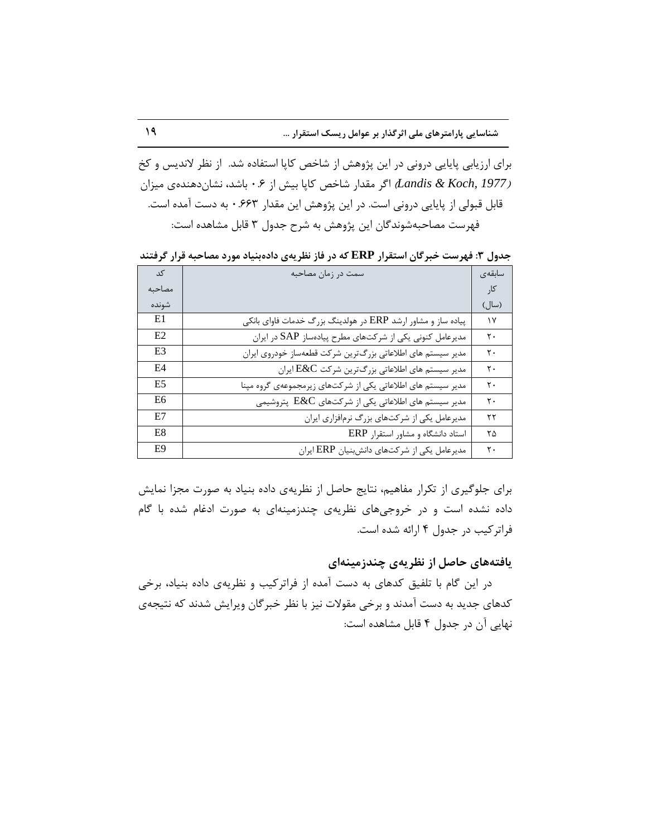**ضٌاسایی پاراهتزّای هلی اثزگذار تز عَاهل ریسک استقزار ...** 19

برای ارزیابی پایایی درونی در این پژوهش از شاخص کاپا استفاده شد. از نظر لاندیس و کخ *(Landis & Koch, 1977) اگر م*قدار شاخص كاپا بيش از ۰.۶ باشد، نشان دهندهى ميزان قابل قبولی از پایایی درونی است. در این پژوهش این مقدار ۶۶۳ ً۰ به دست آمده است. فهرست مصاحبهشوندگان این پژوهش به شرح جدول ۳ قابل مشاهده است:

جِدول ٣: فهرست خبرگان استقرار **ERP که در فاز نظریهی دادهبنیاد مورد مصاحبه قرار گرفتند** 

| کد             | سمت در زمان مصاحبه                                           | سابقەي            |
|----------------|--------------------------------------------------------------|-------------------|
| مصاحبه         |                                                              | کار               |
| شونده          |                                                              | (سال)             |
| E1             | پیاده ساز و مشاور ارشد ERP در هولدینگ بزرگ خدمات فاوای بانکی | $\gamma$          |
| E2             | مدیرعامل کنونی یکی از شرکتهای مطرح پیادهساز SAP در ایران     | $\mathsf{r}\cdot$ |
| E <sub>3</sub> | مدیر سیستم های اطلاعاتی بزرگترین شرکت قطعهساز خودروی ایران   | $\mathsf{r}\cdot$ |
| E4             | مدیر سیستم های اطلاعاتی بزرگترین شرکت $\text{E\&C}$ ایران    | $\mathsf{r}$ .    |
| E5             | مدیر سیستم های اطلاعاتی یکی از شرکتهای زیرمجموعهی گروه مپنا  | $\mathsf{r}$ .    |
| E6             | مدیر سیستم های اطلاعاتی یکی از شرکتهای $\rm E\&C$ پتروشیمی   | $\mathsf{r}\cdot$ |
| E7             | مدیرعامل یکی از شرکتهای بزرگ نرمافزاری ایران                 | ۲۲                |
| E8             | استاد دانشگاه و مشاور استقرار ERP                            | ۲۵                |
| E9             | مدیرعامل یکی از شرکتهای دانشبنیان ERP ایران                  | $\mathsf{r}\cdot$ |

برای جلوگیری از تکرار مفاهیم، نتایج حاصل از نظریهی داده بنیاد به صورت مجزا نمایش داده نشده است و در خروجیهای نظریهی چندزمینهای به صورت ادغام شده با گام فراترکیب در جدول ۴ ارائه شده است.

### **یافتِّای حاصل اس ًظزیِی چٌذسهیٌِای**

در این گام با تلفیق کدهای به دست آمده از فراترکیب و نظریهی داده بنیاد، برخی کدهای جدید به دست آمدند و برخی مقولات نیز با نظر خبرگان ویرایش شدند که نتیجهی نهایی آن در جدول ۴ قابل مشاهده است: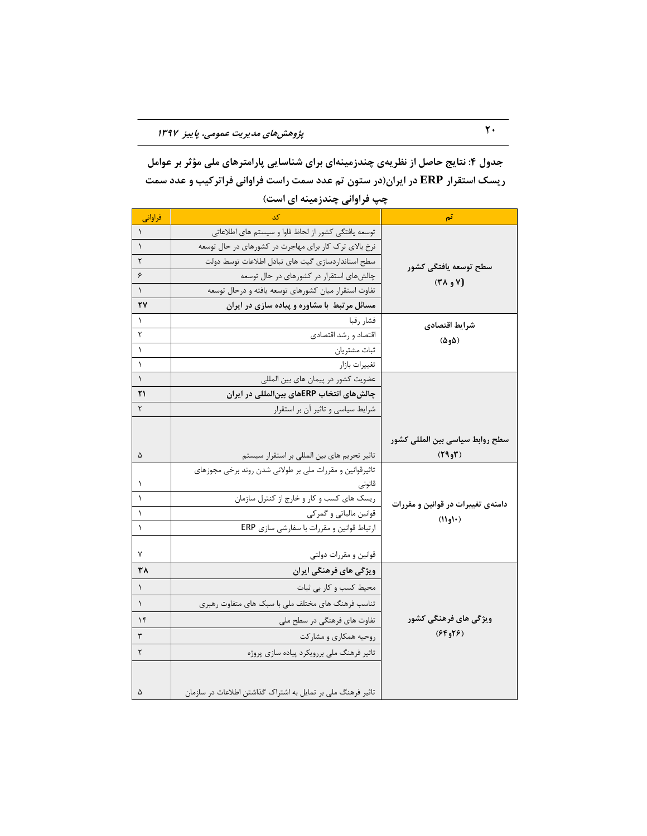جدول ۴: نتایج حاصل از نظریهی چندزمینهای برای شناسایی پارامترهای ملی مؤثر بر عوامل **ریسک استقزار ERP در ایزاى)در ستَى تن عذد سوت راست فزاٍاًی فزاتزکیة ٍ عذد سوت**  چپ فراوانی چندزمینه ای است)

| فراواني   | کد                                                          | تم                                |
|-----------|-------------------------------------------------------------|-----------------------------------|
| $\lambda$ | توسعه یافتگی کشور از لحاظ فاوا و سیستم های اطلاعاتی         |                                   |
| $\lambda$ | نرخ بالای ترک کار برای مهاجرت در کشورهای در حال توسعه       |                                   |
| ٢         | سطح استانداردسازى گيت هاى تبادل اطلاعات توسط دولت           | سطح توسعه يافتگى كشور             |
| ۶         | چالشهای استقرار در کشورهای در حال توسعه                     | $(Y \wedge \phi)'$                |
| $\lambda$ | تفاوت استقرار میان کشورهای توسعه یافته و درحال توسعه        |                                   |
| ۲۷        | مسائل مرتبط با مشاوره و پیاده سازی در ایران                 |                                   |
| $\lambda$ | فشار رقبا                                                   | شرايط اقتصادى                     |
| ٢         | اقتصاد و رشد اقتصادي                                        | (۵و۵)                             |
| $\lambda$ | ثبات مشتريان                                                |                                   |
| $\lambda$ | تغييرات بازار                                               |                                   |
| $\lambda$ | عضویت کشور در پیمان های بین المللی                          |                                   |
| ٢١        | چالش های انتخاب ERPهای بین المللی در ایران                  |                                   |
| ٢         | شرایط سیاسی و تاثیر آن بر استقرار                           |                                   |
|           |                                                             |                                   |
|           |                                                             | سطح روابط سياسي بين المللي كشور   |
| ۵         | تاثیر تحریم های بین المللی بر استقرار سیستم                 | (799)                             |
|           | تاثیرقوانین و مقررات ملی بر طولانی شدن روند برخی مجوزهای    |                                   |
| ١         | قانونى                                                      |                                   |
| $\lambda$ | ریسک های کسب و کار و خارج از کنترل سازمان                   | دامنهی تغییرات در قوانین و مقررات |
| $\lambda$ | قوانین مالیاتی و گمرکی                                      | (١٠و١١)                           |
| $\lambda$ | ارتباط قوانین و مقررات با سفارشی سازی ERP                   |                                   |
|           |                                                             |                                   |
| ٧         | قوانین و مقررات دولتی                                       |                                   |
| ٣٨        | ویژگی های فرهنگی ایران                                      |                                   |
| $\lambda$ | محیط کسب و کار بی ثبات                                      |                                   |
| $\lambda$ | تناسب فرهنگ های مختلف ملی با سبک های متفاوت رهبری           |                                   |
| $\gamma$  | تفاوت های فرهنگی در سطح ملی                                 | ویژگی های فرهنگی کشور             |
| ٣         | روحیه همکاری و مشارکت                                       | (5F975)                           |
| ٢         | تاثیر فرهنگ ملی بررویکرد پیاده سازی پروژه                   |                                   |
|           |                                                             |                                   |
|           |                                                             |                                   |
| ۵         | تاثیر فرهنگ ملی بر تمایل به اشتراک گذاشتن اطلاعات در سازمان |                                   |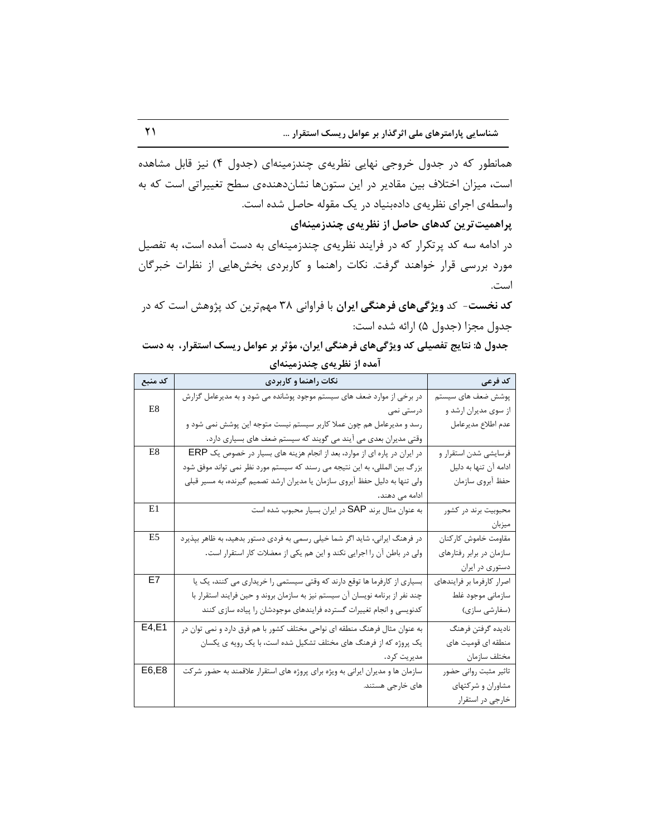همانطور که در جدول خروجی نهایی نظریهی چندزمینهای (جدول ۴) نیز قابل مشاهده است، میزان اختلاف بین مقادیر در این ستونها نشاندهندهی سطح تغییراتی است که به واسطهی اجرای نظریهی دادهبنیاد در یک مقوله حاصل شده است.

پراهمیت *ت*رین کدهای حاصل از نظریهی چندزمینهای

در ادامه سه کد پرتکرار که در فرایند نظریهی چندزمینهای به دست آمده است، به تفصیل مورد بررسی قرار خواهند گرفت. نکات راهنما و کاربردی بخشهایی از نظرات خبرگان است.

کد نخست- کد ویژگیهای فرهنگی ایران با فراوانی ۳۸ مهم¤رین کد پژوهش است که در جدول مجزا (جدول ۵) ارائه شده است:

| جدول ۵: نتایج تفصیلی کد ویژگیهای فرهنگی ایران، مؤثر بر عوامل ریسک استقرار، به دست |                           |  |  |
|-----------------------------------------------------------------------------------|---------------------------|--|--|
|                                                                                   | آمده از نظریهی چندزمینهای |  |  |

| کد منبع        | نکات راهنما و کاربردی                                                         | كد فرعى                    |
|----------------|-------------------------------------------------------------------------------|----------------------------|
|                | در برخی از موارد ضعف های سیستم موجود پوشانده می شود و به مدیرعامل گزارش       | پوشش ضعف های سیستم         |
| E <sub>8</sub> | درستی نمی                                                                     | از سوی مدیران ارشد و       |
|                | رسد و مدیرعامل هم چون عملا کاربر سیستم نیست متوجه این پوشش نمی شود و          | عدم اطلاع مديرعامل         |
|                | وقتی مدیران بعدی می آیند می گویند که سیستم ضعف های بسیاری دارد.               |                            |
| E8             | در ایران در پاره ای از موارد، بعد از انجام هزینه های بسیار در خصوص یک ERP     | فرسايشي شدن استقرار و      |
|                | بزرگ بین المللی، به این نتیجه می رسند که سیستم مورد نظر نمی تواند موفق شود    | ادامه آن تنها به دلیل      |
|                | ولی تنها به دلیل حفظ آبروی سازمان یا مدیران ارشد تصمیم گیرنده، به مسیر قبلی   | حفظ أبروي سازمان           |
|                | ادامه می دهند.                                                                |                            |
| E1             | به عنوان مثال برند SAP در ایران بسیار محبوب شده است                           | محبوبیت برند در کشور       |
|                |                                                                               | ميزبان                     |
| E5             | در فرهنگ ایرانی، شاید اگر شما خیلی رسمی به فردی دستور بدهید، به ظاهر بپذیرد   | مقاومت خاموش كاركنان       |
|                | ولی در باطن آن را اجرایی نکند و این هم یکی از معضلات کار استقرار است.         | سازمان در برابر رفتارهای   |
|                |                                                                               | دستوری در ایران            |
| E7             | بسیاری از کارفرما ها توقع دارند که وقتی سیستمی را خریداری می کنند، یک یا      | اصرار كارفرما بر فرايندهاي |
|                | چند نفر از برنامه نویسان آن سیستم نیز به سازمان بروند و حین فرایند استقرار با | سازمانى موجود غلط          |
|                | کدنویسی و انجام تغییرات گسترده فرایندهای موجودشان را پیاده سازی کنند          | (سفارشی سازی)              |
| E4, E1         | به عنوان مثال فرهنگ منطقه ای نواحی مختلف کشور با هم فرق دارد و نمی توان در    | ناديده گرفتن فرهنگ         |
|                | یک پروژه که از فرهنگ های مختلف تشکیل شده است، با یک رویه ی یکسان              | منطقه ای قومیت های         |
|                | مديريت كرد.                                                                   | مختلف سازمان               |
| E6,E8          | سازمان ها و مدیران ایرانی به ویژه برای پروژه های استقرار علاقمند به حضور شرکت | تاثير مثبت رواني حضور      |
|                | های خارجی هستند.                                                              | مشاوران و شركتهاى          |
|                |                                                                               | خارجي در استقرار           |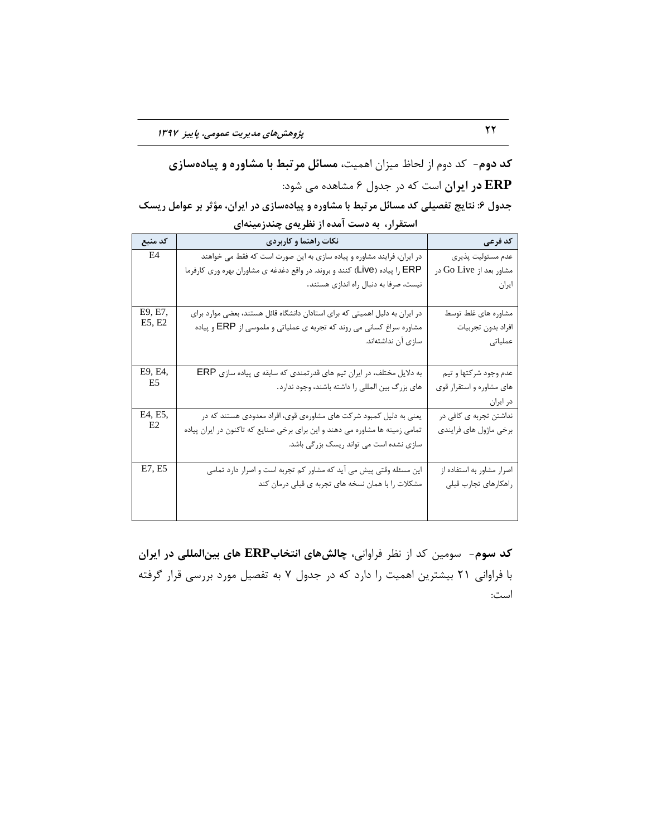# کد دوم- کد دوم از لحاظ میزان اهمیت**، مسائل مرتبط با مشاوره و پیادهسازی ERP در ایران** است که در جدول ۶ مشاهده می شود:

| جدول ۶: نتایج تفصیلی کد مسائل مرتبط با مشاوره و پیادهسازی در ایران، مؤثر بر عوامل ریسک |  |
|----------------------------------------------------------------------------------------|--|
| استقرار، به دست آمده از نظریهی چندزمینهای                                              |  |

| کد منبع | نکات راهنما و کاربردی                                                        | كد فرعى                   |
|---------|------------------------------------------------------------------------------|---------------------------|
| E4      | در ایران، فرایند مشاوره و پیاده سازی به این صورت است که فقط می خواهند        | عدم مسئوليت پذيري         |
|         | ERP را پیاده (Live) کنند و بروند. در واقع دغدغه ی مشاوران بهره وری کارفرما   | مشاور بعد از Go Live در   |
|         | نیست، صرفا به دنبال راه اندازی هستند.                                        | ايران                     |
|         |                                                                              |                           |
| E9, E7, | در ایران به دلیل اهمیتی که برای استادان دانشگاه قائل هستند، بعضی موارد برای  | مشاوره های غلط توسط       |
| E5, E2  | مشاوره سراغ کسانی می روند که تجربه ی عملیاتی و ملموسی از ERP و پیاده         | افراد بدون تجربيات        |
|         | سازی آن نداشتهاند.                                                           | عملیاتی                   |
|         |                                                                              |                           |
| E9, E4, | به دلایل مختلف، در ایران تیم های قدرتمندی که سابقه ی پیاده سازی ERP          | عدم وجود شركتها و تيم     |
| E5      | های بزرگ بین المللی را داشته باشند، وجود ندارد.                              | های مشاوره و استقرار قوی  |
|         |                                                                              | در ایران                  |
| E4, E5, | یعنی به دلیل کمبود شرکت های مشاورهی قوی، افراد معدودی هستند که در            | نداشتن تجربه ی کافی در    |
| E2      | تمامی زمینه ها مشاوره می دهند و این برای برخی صنایع که تاکنون در ایران پیاده | برخي ماژول هاي فرايندي    |
|         | سازی نشده است می تواند ریسک بزرگی باشد.                                      |                           |
|         |                                                                              |                           |
| E7, E5  | این مسئله وقتی پیش می آید که مشاور کم تجربه است و اصرار دارد تمامی           | اصرار مشاور به استفاده از |
|         | مشکلات را با همان نسخه های تجربه ی قبلی درمان کند                            | راهكارهاى تجارب قبلى      |
|         |                                                                              |                           |
|         |                                                                              |                           |

کد سوم- سومین کد از نظر فراوانی، چالش های انتخاب**ERP های بین المللی در ایران** با فراوانی ۲۱ بیشترین اهمیت را دارد که در جدول ۷ به تفصیل مورد بررسی قرار گرفته است: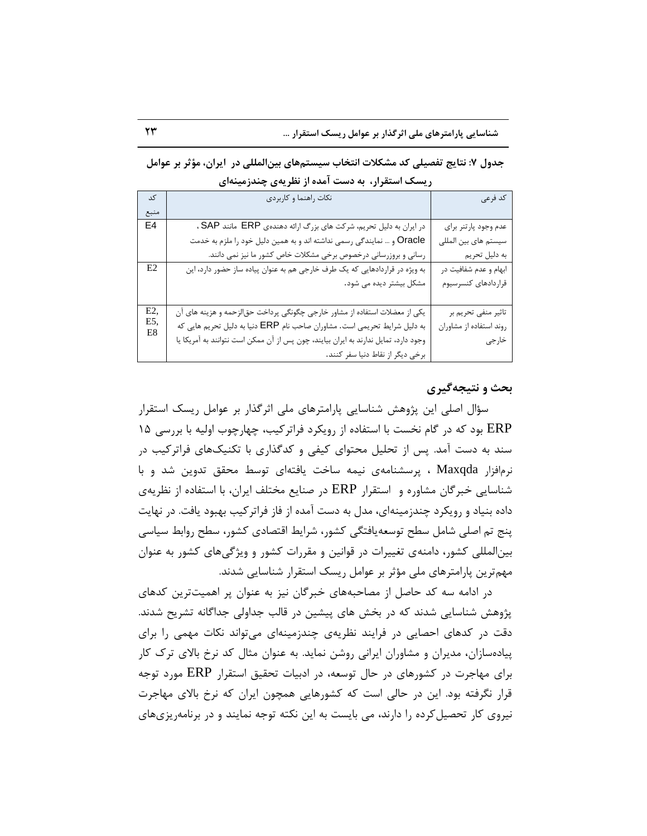**جذٍل :7 ًتایج تفصیلی کذ هطکالت اًتخاب سیستنّای تیيالوللی در ایزاى، هؤثز تز عَاهل ریسک استقزار، تِ دست آهذُ اس ًظزیِی چٌذسهیٌِای** 

| کد             | نکات راهنما و کاربردی                                                               | كد فرعى                 |
|----------------|-------------------------------------------------------------------------------------|-------------------------|
| منبع           |                                                                                     |                         |
| E4             | در ایران به دلیل تحریم، شرکت های بزرگ ارائه دهندهی ERP مانند SAP،                   | عدم وجود پارتنر براي    |
|                | Oracle و … نمایندگی رسمی نداشته اند و به همین دلیل خود را ملزم به خدمت              | سیستم های بین المللی    |
|                | رسانی و بروزرسانی درخصوص برخی مشکلات خاص کشور ما نیز نمی دانند.                     | به دليل تحريم           |
| E <sub>2</sub> | به ویژه در قراردادهایی که یک طرف خارجی هم به عنوان پیاده ساز حضور دارد، این         | ابهام و عدم شفافیت در   |
|                | مشکل بیشتر دیده می شود.                                                             | قراردادهای کنسرسیوم     |
|                |                                                                                     |                         |
| E2,            | یکی از معضلات استفاده از مشاور خارجی چگونگی پرداخت حقالزحمه و هزینه های آن          | تاثیر منفی تحریم بر     |
| E5,<br>E8      | به دلیل شرایط تحریمی است. مشاوران صاحب نام ERP دنیا به دلیل تحریم هایی که           | روند استفاده از مشاوران |
|                | وجود دارد، تمایل ندارند به ایران بیایند، چون پس از آن ممکن است نتوانند به آمریکا یا | خارجى                   |
|                | برخی دیگر از نقاط دنیا سفر کنند.                                                    |                         |

### **تحث ٍ ًتیجِگیزی**

سؤال اصلی این پژوهش شناسایی پارامترهای ملی اثرگذار بر عوامل ریسک استقرار ERP بود که در گام نخست با استفاده از رویکرد فراترکیب، چهارچوب اولیه با بررسی ۱۵ سند به دست آمد. پس از تحلیل محتوای کیفی و کدگذاری با تکنیکهای فراترکیب در نرمافزار Maxqda ، پرسشنامهی نیمه ساخت یافتهای توسط محقق تدوین شد و با شناسایی خبرگان مشاوره و استقرار ERP در صنایع مختلف ایران، با استفاده از نظریهی داده بنیاد و رویکرد چندزمینهای، مدل به دست آمده از فاز فراترکیب بهبود یافت. در نهایت پنج تم اصلی شامل سطح توسعه یافتگی کشور، شرایط اقتصادی کشور، سطح روابط سیاسی بینِالمللی کشور، دامنهی تغییرات در قوانین و مقررات کشور و ویژگی&ای کشور به عنوان مهم ترین پارامترهای ملی مؤثر بر عوامل ریسک استقرار شناسایی شدند.

در ادامه سه کد حاصل از مصاحبههای خبرگان نیز به عنوان پر اهمیتترین کدهای پژوهش شناسایی شدند که در بخش های پیشین در قالب جداولی جداگانه تشریح شدند. دقت در کدهای احصایی در فرایند نظریهی چندزمینهای می تواند نکات مهمی را برای پیادهسازان، مدیران و مشاوران ایرانی روشن نماید. به عنوان مثال کد نرخ بالای ترک کار برای مهاجرت در كشورهای در حال توسعه، در ادبیات تحقیق استقرار ERP مورد توجه قرار نگرفته بود. این در حالی است که کشورهایی همچون ایران که نرخ بالای مهاجرت نیروی کار تحصیل کرده را دارند، می بایست به این نکته توجه نمایند و در برنامه پزیهای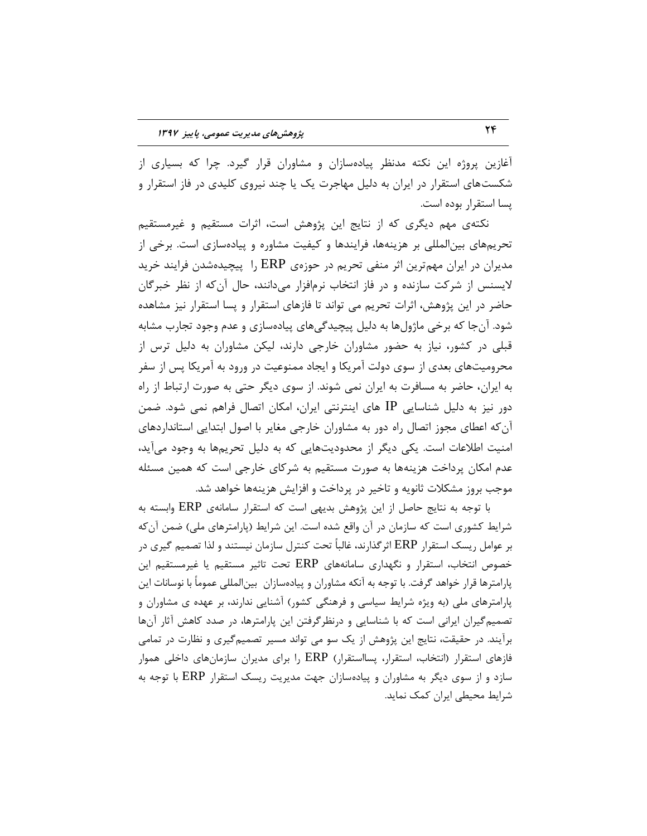آغازین پروژه این نکته مدنظر پیادهسازان و مشاوران قرار گیرد. چرا که بسیاری از شکستهای استقرار در ایران به دلیل مهاجرت یک یا چند نیروی کلیدی در فاز استقرار و يسا استقرار بوده است.

نکتهی مهم دیگری که از نتایج این پژوهش است، اثرات مستقیم و غیرمستقیم تحریمهای بینالمللی بر هزینهها، فرایندها و کیفیت مشاوره و پیادهسازی است. برخی از مدیران در ایران مهمترین اثر منفی تحریم در حوزهی ERP را پیچیدهشدن فرایند خرید لایسنس از شرکت سازنده و در فاز انتخاب نرمافزار می۱دانند، حال آن که از نظر خبرگان حاضر در این پژوهش، اثرات تحریم می تواند تا فازهای استقرار و پسا استقرار نیز مشاهده شود. آنجا که برخی ماژولها به دلیل پیچیدگیهای پیادهسازی و عدم وجود تجارب مشابه قبلی در کشور، نیاز به حضور مشاوران خارجی دارند، لیکن مشاوران به دلیل ترس از محرومیتهای بعدی از سوی دولت آمریکا و ایجاد ممنوعیت در ورود به آمریکا پس از سفر به ایران، حاضر به مسافرت به ایران نمی شوند. از سوی دیگر حتی به صورت ارتباط از راه دور نیز به دلیل شناسایی IP های اینترنتی ایران، امکان اتصال فراهم نمی شود. ضمن آن که اعطای مجوز اتصال راه دور به مشاوران خارجی مغایر با اصول ابتدایی استانداردهای امنیت اطلاعات است. یکی دیگر از محدودیتهایی که به دلیل تحریمها به وجود می آید، عدم امکان پرداخت هزینهها به صورت مستقیم به شرکای خارجی است که همین مسئله موجب بروز مشکلات ثانویه و تاخیر در پرداخت و افزایش هزینهها خواهد شد.

با توجه به نتایج حاصل از این پژوهش بدیهی است که استقرار سامانهی ERP وابسته به شرایط کشوری است که سازمان در آن واقع شده است. این شرایط (پارامترهای ملی) ضمن آنکه بر عوامل ریسک استقرار ERP اثرِ گذارند، غالباً تحت کنترل سازمان نیستند و لذا تصمیم گیری در خصوص انتخاب، استقرار و نگهداری سامانههای ERP تحت تاثیر مستقیم یا غیرمستقیم این پارامترها قرار خواهد گرفت. با توجه به آنکه مشاوران و پیادهسازان بینالمللی عموماً با نوسانات این پارامترهای ملی (به ویژه شرایط سیاسی و فرهنگی کشور) آشنایی ندارند، بر عهده ی مشاوران و تصمیم گیران ایرانی است که با شناسایی و درنظرگرفتن این پارامترها، در صدد کاهش آثار آنها برآیند. در حقیقت، نتایج این پژوهش از یک سو می تواند مسیر تصمیمگیری و نظارت در تمامی فازهای استقرار (انتخاب، استقرار، پسااستقرار) ERP را برای مدیران سازمانهای داخلی هموار سازد و از سوی دیگر به مشاوران و پیادهسازان جهت مدیریت ریسک استقرار ERP با توجه به شرایط محیطی ایران کمک نماید.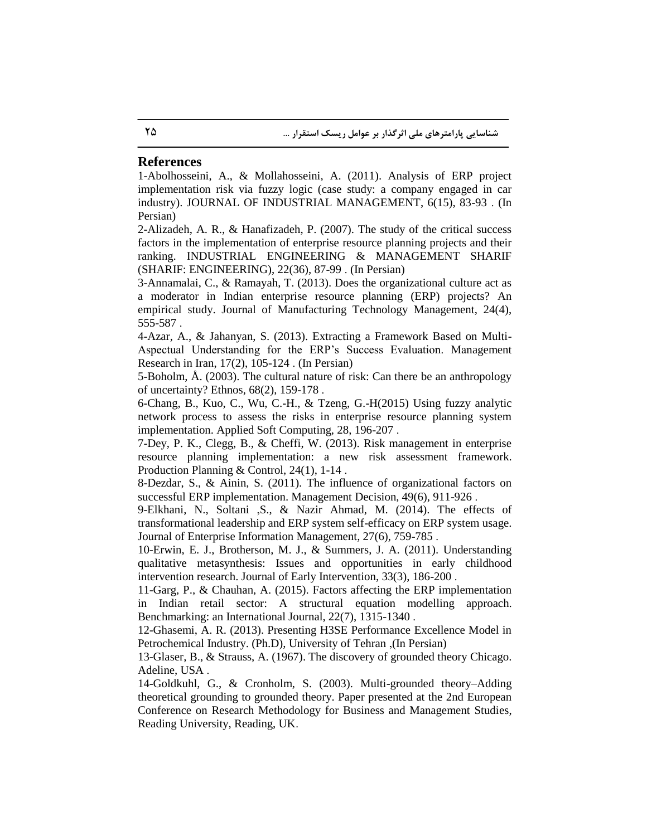#### **References**

1-Abolhosseini, A., & Mollahosseini, A. (2011). Analysis of ERP project implementation risk via fuzzy logic (case study: a company engaged in car industry). JOURNAL OF INDUSTRIAL MANAGEMENT, 6(15), 83-93 . (In Persian)

2-Alizadeh, A. R., & Hanafizadeh, P. (2007). The study of the critical success factors in the implementation of enterprise resource planning projects and their ranking. INDUSTRIAL ENGINEERING & MANAGEMENT SHARIF (SHARIF: ENGINEERING), 22(36), 87-99 . (In Persian)

3-Annamalai, C., & Ramayah, T. (2013). Does the organizational culture act as a moderator in Indian enterprise resource planning (ERP) projects? An empirical study. Journal of Manufacturing Technology Management, 24(4), 555-587 .

4-Azar, A., & Jahanyan, S. (2013). Extracting a Framework Based on Multi-Aspectual Understanding for the ERP's Success Evaluation. Management Research in Iran, 17(2), 105-124 . (In Persian)

5-Boholm, Å. (2003). The cultural nature of risk: Can there be an anthropology of uncertainty? Ethnos, 68(2), 159-178 .

6-Chang, B., Kuo, C., Wu, C.-H., & Tzeng, G.-H(2015) Using fuzzy analytic network process to assess the risks in enterprise resource planning system implementation. Applied Soft Computing, 28, 196-207 .

7-Dey, P. K., Clegg, B., & Cheffi, W. (2013). Risk management in enterprise resource planning implementation: a new risk assessment framework. Production Planning & Control, 24(1), 1-14.

8-Dezdar, S., & Ainin, S. (2011). The influence of organizational factors on successful ERP implementation. Management Decision, 49(6), 911-926 .

9-Elkhani, N., Soltani ,S., & Nazir Ahmad, M. (2014). The effects of transformational leadership and ERP system self-efficacy on ERP system usage. Journal of Enterprise Information Management, 27(6), 759-785 .

10-Erwin, E. J., Brotherson, M. J., & Summers, J. A. (2011). Understanding qualitative metasynthesis: Issues and opportunities in early childhood intervention research. Journal of Early Intervention, 33(3), 186-200 .

11-Garg, P., & Chauhan, A. (2015). Factors affecting the ERP implementation in Indian retail sector: A structural equation modelling approach. Benchmarking: an International Journal, 22(7), 1315-1340 .

12-Ghasemi, A. R. (2013). Presenting H3SE Performance Excellence Model in Petrochemical Industry. (Ph.D), University of Tehran ,(In Persian)

13-Glaser, B., & Strauss, A. (1967). The discovery of grounded theory Chicago. Adeline, USA .

14-Goldkuhl, G., & Cronholm, S. (2003). Multi-grounded theory–Adding theoretical grounding to grounded theory. Paper presented at the 2nd European Conference on Research Methodology for Business and Management Studies, Reading University, Reading, UK.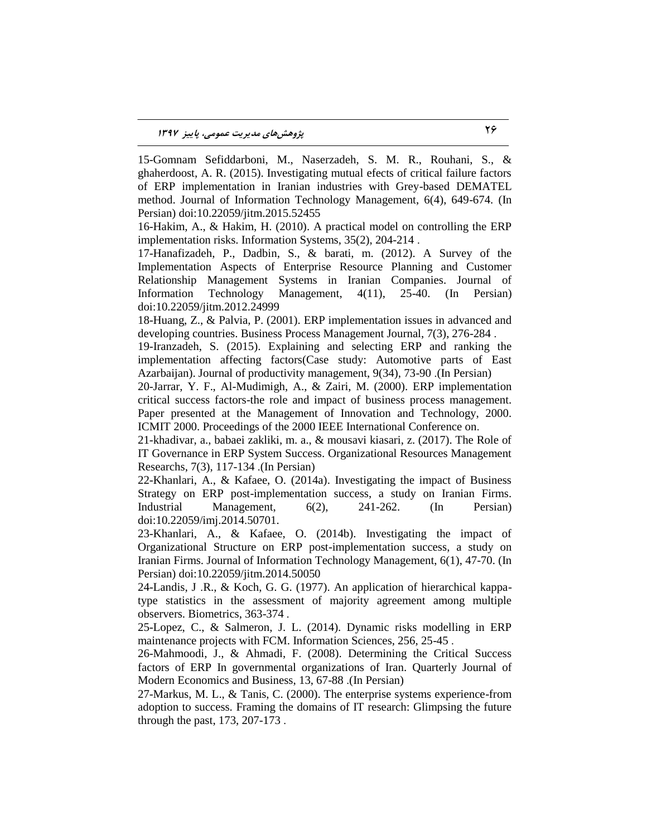15-Gomnam Sefiddarboni, M., Naserzadeh, S. M. R., Rouhani, S., & ghaherdoost, A. R. (2015). Investigating mutual efects of critical failure factors of ERP implementation in Iranian industries with Grey-based DEMATEL method. Journal of Information Technology Management, 6(4), 649-674. (In Persian) doi:10.22059/jitm.2015.52455

16-Hakim, A., & Hakim, H. (2010). A practical model on controlling the ERP implementation risks. Information Systems, 35(2), 204-214 .

17-Hanafizadeh, P., Dadbin, S., & barati, m. (2012). A Survey of the Implementation Aspects of Enterprise Resource Planning and Customer Relationship Management Systems in Iranian Companies. Journal of Information Technology Management, 4(11), 25-40. (In Persian) doi:10.22059/jitm.2012.24999

18-Huang, Z., & Palvia, P. (2001). ERP implementation issues in advanced and developing countries. Business Process Management Journal, 7(3), 276-284 .

19-Iranzadeh, S. (2015). Explaining and selecting ERP and ranking the implementation affecting factors(Case study: Automotive parts of East Azarbaijan). Journal of productivity management, 9(34), 73-90 .(In Persian)

20-Jarrar, Y. F., Al-Mudimigh, A., & Zairi, M. (2000). ERP implementation critical success factors-the role and impact of business process management. Paper presented at the Management of Innovation and Technology, 2000. ICMIT 2000. Proceedings of the 2000 IEEE International Conference on.

21-khadivar, a., babaei zakliki, m. a., & mousavi kiasari, z. (2017). The Role of IT Governance in ERP System Success. Organizational Resources Management Researchs, 7(3), 117-134 .(In Persian)

22-Khanlari, A., & Kafaee, O. (2014a). Investigating the impact of Business Strategy on ERP post-implementation success, a study on Iranian Firms. Industrial Management, 6(2), 241-262. (In Persian) doi:10.22059/imj.2014.50701.

23-Khanlari, A., & Kafaee, O. (2014b). Investigating the impact of Organizational Structure on ERP post-implementation success, a study on Iranian Firms. Journal of Information Technology Management, 6(1), 47-70. (In Persian) doi:10.22059/jitm.2014.50050

24-Landis, J .R., & Koch, G. G. (1977). An application of hierarchical kappatype statistics in the assessment of majority agreement among multiple observers. Biometrics, 363-374 .

25-Lopez, C., & Salmeron, J. L. (2014). Dynamic risks modelling in ERP maintenance projects with FCM. Information Sciences, 256, 25-45 .

26-Mahmoodi, J., & Ahmadi, F. (2008). Determining the Critical Success factors of ERP In governmental organizations of Iran. Quarterly Journal of Modern Economics and Business, 13, 67-88 .(In Persian)

27-Markus, M. L., & Tanis, C. (2000). The enterprise systems experience-from adoption to success. Framing the domains of IT research: Glimpsing the future through the past, 173, 207-173 .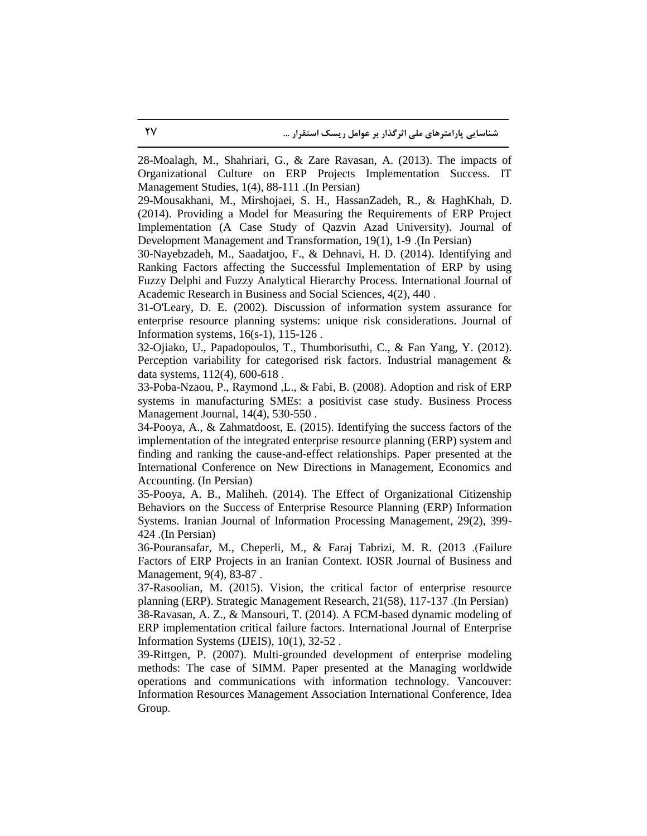28-Moalagh, M., Shahriari, G., & Zare Ravasan, A. (2013). The impacts of Organizational Culture on ERP Projects Implementation Success. IT Management Studies, 1(4), 88-111 .(In Persian)

29-Mousakhani, M., Mirshojaei, S. H., HassanZadeh, R., & HaghKhah, D. (2014). Providing a Model for Measuring the Requirements of ERP Project Implementation (A Case Study of Qazvin Azad University). Journal of Development Management and Transformation, 19(1), 1-9 .(In Persian)

30-Nayebzadeh, M., Saadatjoo, F., & Dehnavi, H. D. (2014). Identifying and Ranking Factors affecting the Successful Implementation of ERP by using Fuzzy Delphi and Fuzzy Analytical Hierarchy Process. International Journal of Academic Research in Business and Social Sciences, 4(2), 440 .

31-O'Leary, D. E. (2002). Discussion of information system assurance for enterprise resource planning systems: unique risk considerations. Journal of Information systems, 16(s-1), 115-126 .

32-Ojiako, U., Papadopoulos, T., Thumborisuthi, C., & Fan Yang, Y. (2012). Perception variability for categorised risk factors. Industrial management & data systems, 112(4), 600-618 .

33-Poba-Nzaou, P., Raymond ,L., & Fabi, B. (2008). Adoption and risk of ERP systems in manufacturing SMEs: a positivist case study. Business Process Management Journal, 14(4), 530-550 .

34-Pooya, A., & Zahmatdoost, E. (2015). Identifying the success factors of the implementation of the integrated enterprise resource planning (ERP) system and finding and ranking the cause-and-effect relationships. Paper presented at the International Conference on New Directions in Management, Economics and Accounting. (In Persian)

35-Pooya, A. B., Maliheh. (2014). The Effect of Organizational Citizenship Behaviors on the Success of Enterprise Resource Planning (ERP) Information Systems. Iranian Journal of Information Processing Management, 29(2), 399- 424 .(In Persian)

36-Pouransafar, M., Cheperli, M., & Faraj Tabrizi, M. R. (2013 .(Failure Factors of ERP Projects in an Iranian Context. IOSR Journal of Business and Management, 9(4), 83-87 .

37-Rasoolian, M. (2015). Vision, the critical factor of enterprise resource planning (ERP). Strategic Management Research, 21(58), 117-137 .(In Persian) 38-Ravasan, A. Z., & Mansouri, T. (2014). A FCM-based dynamic modeling of ERP implementation critical failure factors. International Journal of Enterprise Information Systems (IJEIS), 10(1), 32-52 .

39-Rittgen, P. (2007). Multi-grounded development of enterprise modeling methods: The case of SIMM. Paper presented at the Managing worldwide operations and communications with information technology. Vancouver: Information Resources Management Association International Conference, Idea Group.